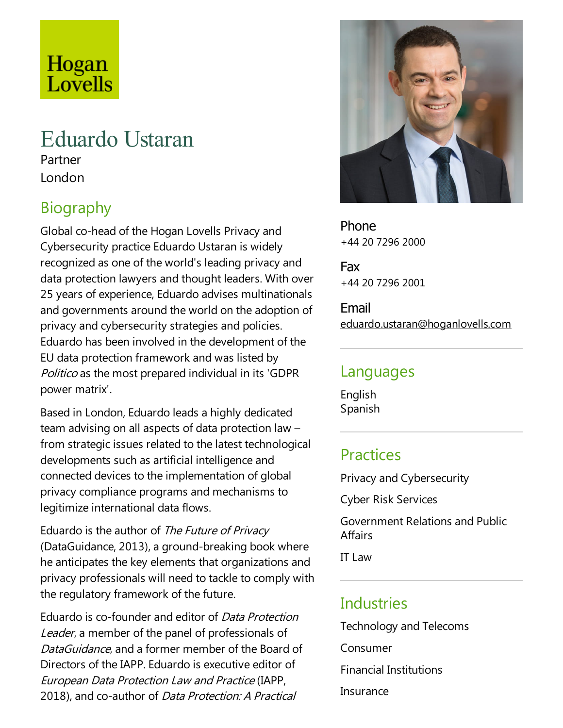# Hogan Lovells

## Eduardo Ustaran

Partner London

### Biography

Global co-head of the Hogan Lovells Privacy and Cybersecurity practice Eduardo Ustaran is widely recognized as one of the world's leading privacy and data protection lawyers and thought leaders. With over 25 years of experience, Eduardo advises multinationals and governments around the world on the adoption of privacy and cybersecurity strategies and policies. Eduardo has been involved in the development of the EU data protection framework and was listed by Politico as the most prepared individual in its 'GDPR power matrix'.

Based in London, Eduardo leads a highly dedicated team advising on all aspects of data protection law – from strategic issues related to the latest technological developments such as artificial intelligence and connected devices to the implementation of global privacy compliance programs and mechanisms to legitimize international data flows.

Eduardo is the author of The Future of Privacy (DataGuidance, 2013), a ground-breaking book where he anticipates the key elements that organizations and privacy professionals will need to tackle to comply with the regulatory framework of the future.

Eduardo is co-founder and editor of Data Protection Leader, a member of the panel of professionals of DataGuidance, and a former member of the Board of Directors of the IAPP. Eduardo is executive editor of European Data Protection Law and Practice(IAPP, 2018), and co-author of *Data Protection: A Practical* 



Phone +44 20 7296 2000

Fax +44 20 7296 2001

Email eduardo.ustaran@hoganlovells.com

#### Languages

English Spanish

#### **Practices**

Privacy and Cybersecurity

Cyber Risk Services

Government Relations and Public **Affairs** 

IT Law

#### **Industries**

Technology and Telecoms Consumer Financial Institutions Insurance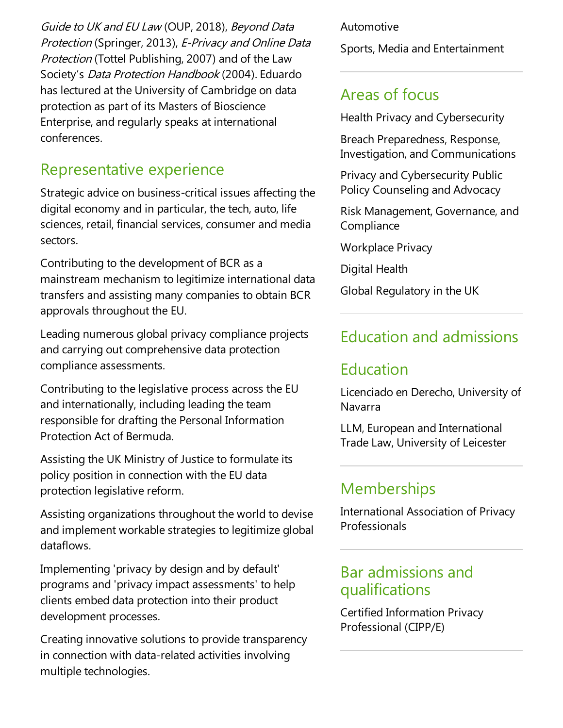Guide to UK and EU Law (OUP, 2018), Beyond Data Protection (Springer, 2013), E-Privacy and Online Data Protection (Tottel Publishing, 2007) and of the Law Society's Data Protection Handbook (2004). Eduardo has lectured at the University of Cambridge on data protection as part of its Masters of Bioscience Enterprise, and regularly speaks at international conferences.

#### Representative experience

Strategic advice on business-critical issues affecting the digital economy and in particular, the tech, auto, life sciences, retail, financial services, consumer and media sectors.

Contributing to the development of BCR as a mainstream mechanism to legitimize international data transfers and assisting many companies to obtain BCR approvals throughout the EU.

Leading numerous global privacy compliance projects and carrying out comprehensive data protection compliance assessments.

Contributing to the legislative process across the EU and internationally, including leading the team responsible for drafting the Personal Information Protection Act of Bermuda.

Assisting the UK Ministry of Justice to formulate its policy position in connection with the EU data protection legislative reform.

Assisting organizations throughout the world to devise and implement workable strategies to legitimize global dataflows.

Implementing 'privacy by design and by default' programs and 'privacy impact assessments' to help clients embed data protection into their product development processes.

Creating innovative solutions to provide transparency in connection with data-related activities involving multiple technologies.

#### Automotive

Sports, Media and Entertainment

#### Areas of focus

Health Privacy and Cybersecurity

Breach Preparedness, Response, Investigation,and Communications

Privacy and Cybersecurity Public Policy Counseling and Advocacy

Risk Management, Governance, and **Compliance** 

Workplace Privacy

Digital Health

Global Regulatory in the UK

#### Education and admissions

#### Education

Licenciado en Derecho, University of Navarra

LLM, European and International Trade Law, University of Leicester

#### **Memberships**

International Association of Privacy Professionals

#### Bar admissions and qualifications

Certified Information Privacy Professional (CIPP/E)